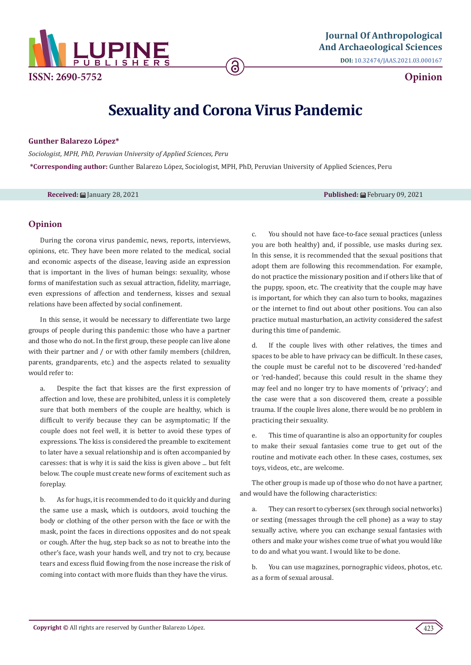

**DOI:** [10.32474/JAAS.2021.03.000167](http://dx.doi.org/10.32474/JAAS.2021.03.000167)

**Opinion**

## **Sexuality and Corona Virus Pandemic**

ခ

**Gunther Balarezo López\***

*Sociologist, MPH, PhD, Peruvian University of Applied Sciences, Peru* **\*Corresponding author:** Gunther Balarezo López, Sociologist, MPH, PhD, Peruvian University of Applied Sciences, Peru

**Received:** January 28, 2021 **Published:** February 09, 2021

## **Opinion**

During the corona virus pandemic, news, reports, interviews, opinions, etc. They have been more related to the medical, social and economic aspects of the disease, leaving aside an expression that is important in the lives of human beings: sexuality, whose forms of manifestation such as sexual attraction, fidelity, marriage, even expressions of affection and tenderness, kisses and sexual relations have been affected by social confinement.

In this sense, it would be necessary to differentiate two large groups of people during this pandemic: those who have a partner and those who do not. In the first group, these people can live alone with their partner and / or with other family members (children, parents, grandparents, etc.) and the aspects related to sexuality would refer to:

a. Despite the fact that kisses are the first expression of affection and love, these are prohibited, unless it is completely sure that both members of the couple are healthy, which is difficult to verify because they can be asymptomatic; If the couple does not feel well, it is better to avoid these types of expressions. The kiss is considered the preamble to excitement to later have a sexual relationship and is often accompanied by caresses: that is why it is said the kiss is given above ... but felt below. The couple must create new forms of excitement such as foreplay.

b. As for hugs, it is recommended to do it quickly and during the same use a mask, which is outdoors, avoid touching the body or clothing of the other person with the face or with the mask, point the faces in directions opposites and do not speak or cough. After the hug, step back so as not to breathe into the other's face, wash your hands well, and try not to cry, because tears and excess fluid flowing from the nose increase the risk of coming into contact with more fluids than they have the virus.

c. You should not have face-to-face sexual practices (unless you are both healthy) and, if possible, use masks during sex. In this sense, it is recommended that the sexual positions that adopt them are following this recommendation. For example, do not practice the missionary position and if others like that of the puppy, spoon, etc. The creativity that the couple may have is important, for which they can also turn to books, magazines or the internet to find out about other positions. You can also practice mutual masturbation, an activity considered the safest during this time of pandemic.

If the couple lives with other relatives, the times and spaces to be able to have privacy can be difficult. In these cases, the couple must be careful not to be discovered 'red-handed' or 'red-handed', because this could result in the shame they may feel and no longer try to have moments of 'privacy'; and the case were that a son discovered them, create a possible trauma. If the couple lives alone, there would be no problem in practicing their sexuality.

e. This time of quarantine is also an opportunity for couples to make their sexual fantasies come true to get out of the routine and motivate each other. In these cases, costumes, sex toys, videos, etc., are welcome.

The other group is made up of those who do not have a partner, and would have the following characteristics:

a. They can resort to cybersex (sex through social networks) or sexting (messages through the cell phone) as a way to stay sexually active, where you can exchange sexual fantasies with others and make your wishes come true of what you would like to do and what you want. I would like to be done.

b. You can use magazines, pornographic videos, photos, etc. as a form of sexual arousal.